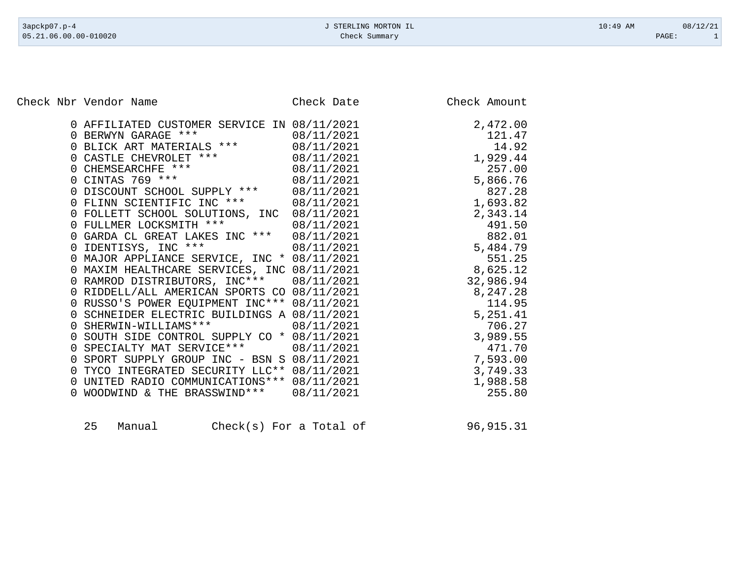Check Nbr Vendor Name Check Date Check Date Check Amount

| 0 AFFILIATED CUSTOMER SERVICE IN 08/11/2021                    |            | 2,472.00  |
|----------------------------------------------------------------|------------|-----------|
| BERWYN GARAGE ***                                              | 08/11/2021 | 121.47    |
| BLICK ART MATERIALS ***                                        | 08/11/2021 | 14.92     |
| CASTLE CHEVROLET ***                                           | 08/11/2021 | 1,929.44  |
| CHEMSEARCHFE ***                                               | 08/11/2021 | 257.00    |
| 0 CINTAS 769 ***                                               | 08/11/2021 | 5,866.76  |
| DISCOUNT SCHOOL SUPPLY ***<br>$\Omega$                         | 08/11/2021 | 827.28    |
| FLINN SCIENTIFIC INC ***                                       | 08/11/2021 | 1,693.82  |
| FOLLETT SCHOOL SOLUTIONS, INC<br>$\cup$                        | 08/11/2021 | 2,343.14  |
| 0 FULLMER LOCKSMITH ***                                        | 08/11/2021 | 491.50    |
| GARDA CL GREAT LAKES INC ***<br>$\cup$                         | 08/11/2021 | 882.01    |
| 0 IDENTISYS, INC ***                                           | 08/11/2021 | 5,484.79  |
| MAJOR APPLIANCE SERVICE, INC * 08/11/2021<br>$\cup$            |            | 551.25    |
| 0 MAXIM HEALTHCARE SERVICES, INC 08/11/2021                    |            | 8,625.12  |
| RAMROD DISTRIBUTORS, INC*** 08/11/2021                         |            | 32,986.94 |
| RIDDELL/ALL AMERICAN SPORTS CO 08/11/2021                      |            | 8,247.28  |
| RUSSO'S POWER EQUIPMENT INC*** 08/11/2021                      |            | 114.95    |
| SCHNEIDER ELECTRIC BUILDINGS A 08/11/2021                      |            | 5,251.41  |
| 0 SHERWIN-WILLIAMS ***                                         | 08/11/2021 | 706.27    |
| SOUTH SIDE CONTROL SUPPLY CO * 08/11/2021<br>$\Omega$          |            | 3,989.55  |
| SPECIALTY MAT SERVICE ***                                      | 08/11/2021 | 471.70    |
| SPORT SUPPLY GROUP INC - BSN S 08/11/2021                      |            | 7,593.00  |
| TYCO INTEGRATED SECURITY LLC** 08/11/2021                      |            | 3,749.33  |
| UNITED RADIO COMMUNICATIONS *** 08/11/2021<br>$\left( \right)$ |            | 1,988.58  |
| WOODWIND & THE BRASSWIND ***                                   | 08/11/2021 | 255.80    |
|                                                                |            |           |

| 25 | Manual |  |  | $Check(s)$ For a Total of | 96,915.31 |
|----|--------|--|--|---------------------------|-----------|
|----|--------|--|--|---------------------------|-----------|